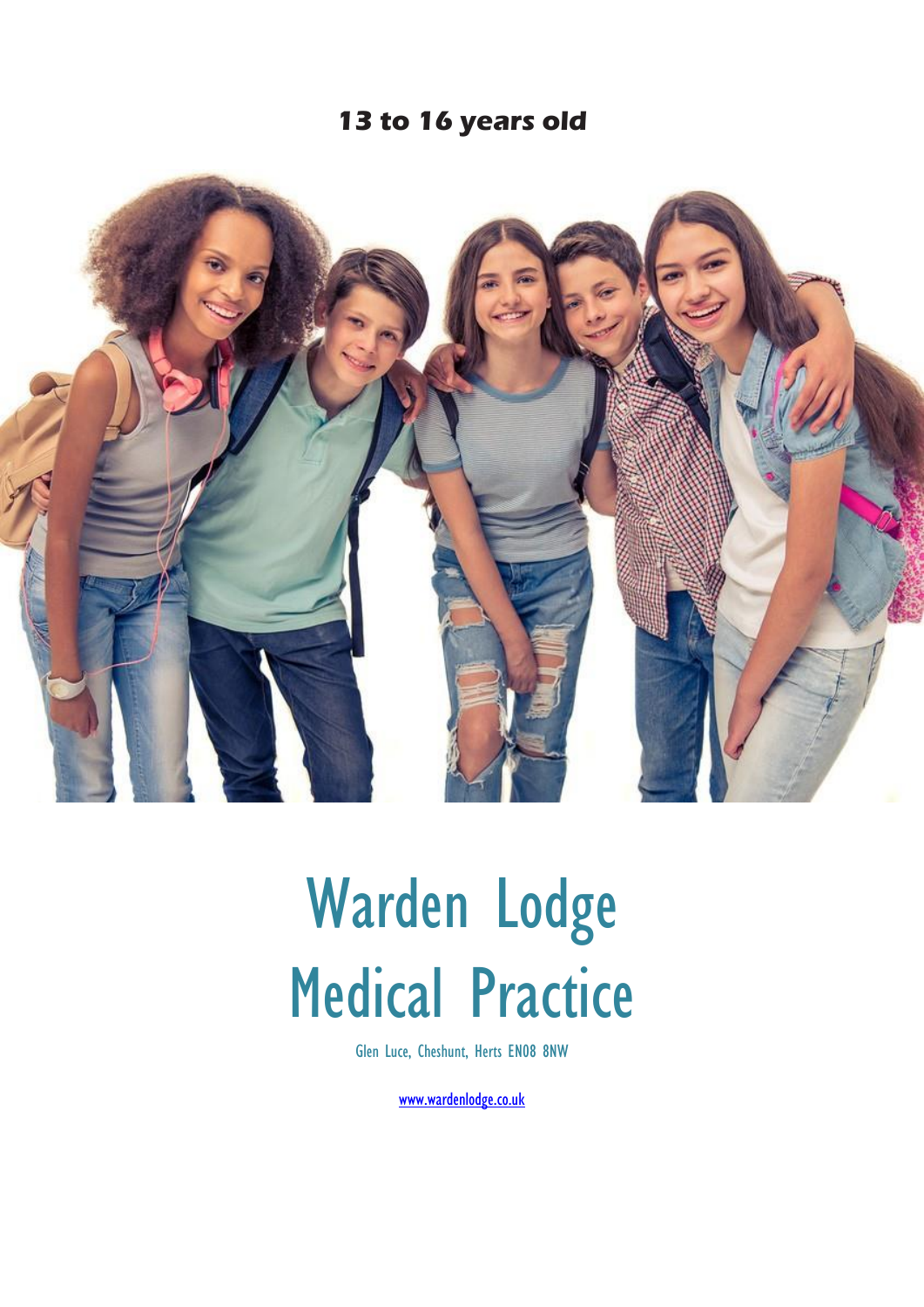### **13 to 16 years old**



# Warden Lodge Medical Practice

Glen Luce, Cheshunt, Herts EN08 8NW

[www.wardenlodge.co.uk](http://www.wardenlodge.co.uk/)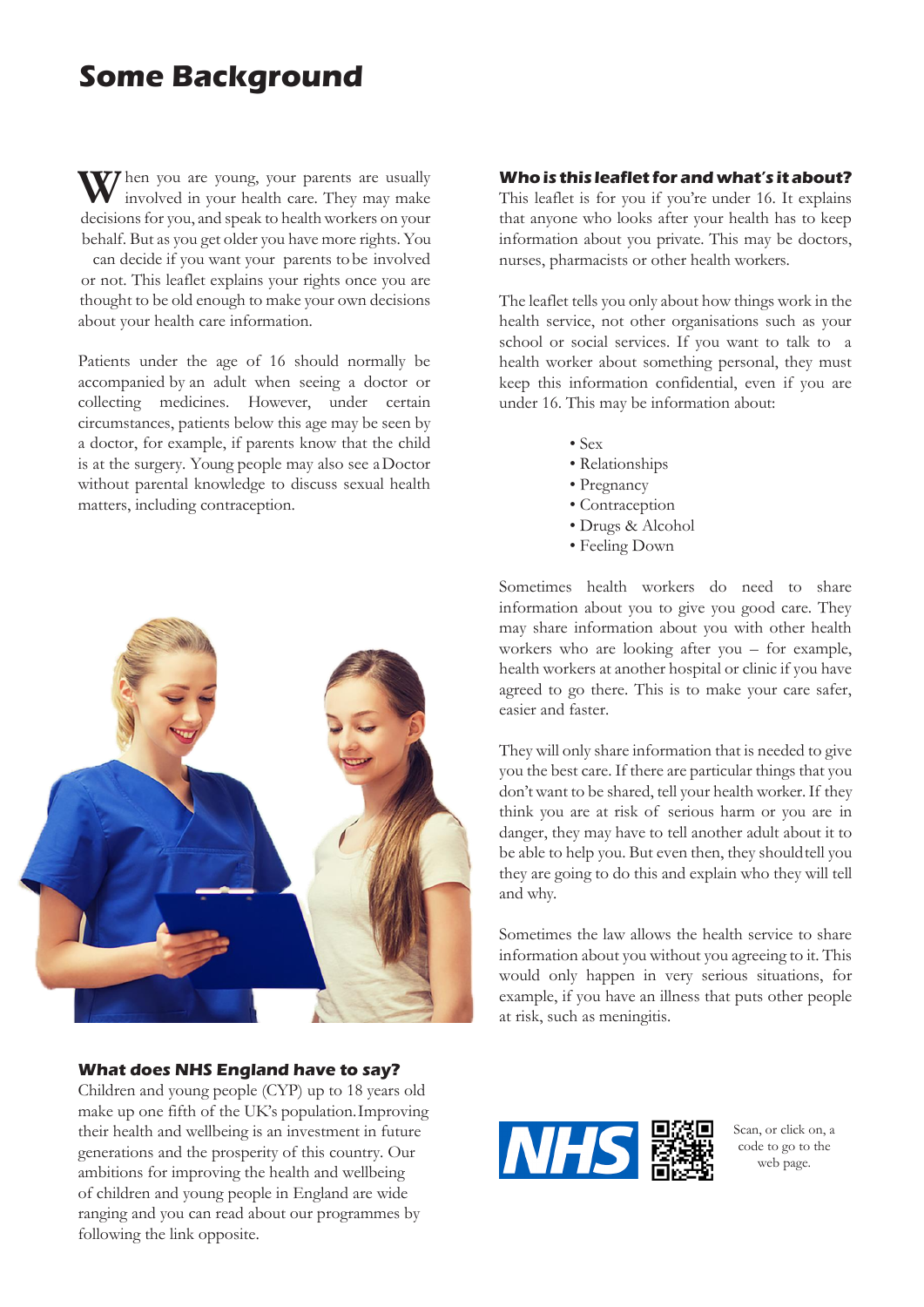# **Some Background**

When you are young, your parents are usually<br>involved in your health care. They may make involved in your health care. They may make decisions for you, and speak to health workers on your behalf. But as you get older you have more rights. You can decide if you want your parents tobe involved or not. This leaflet explains your rights once you are thought to be old enough to make your own decisions about your health care information.

Patients under the age of 16 should normally be accompanied by an adult when seeing a doctor or collecting medicines. However, under certain circumstances, patients below this age may be seen by a doctor, for example, if parents know that the child is at the surgery. Young people may also see aDoctor without parental knowledge to discuss sexual health matters, including contraception.



#### **What does NHS England have to say?**

Children and young people (CYP) up to 18 years old make up one fifth of the UK's population.Improving their health and wellbeing is an investment in future generations and the prosperity of this country. Our ambitions for improving the health and wellbeing of children and young people in England are wide ranging and you can read about our programmes by following the link opposite.

#### **Whois this leaflet for and what's it about?**

This leaflet is for you if you're under 16. It explains that anyone who looks after your health has to keep information about you private. This may be doctors, nurses, pharmacists or other health workers.

The leaflet tells you only about how things work in the health service, not other organisations such as your school or social services. If you want to talk to a health worker about something personal, they must keep this information confidential, even if you are under 16. This may be information about:

- Sex
- Relationships
- Pregnancy
- Contraception
- Drugs & Alcohol
- Feeling Down

Sometimes health workers do need to share information about you to give you good care. They may share information about you with other health workers who are looking after you – for example, health workers at another hospital or clinic if you have agreed to go there. This is to make your care safer, easier and faster.

They will only share information that is needed to give you the best care. If there are particular things that you don't want to be shared, tell your health worker. If they think you are at risk of serious harm or you are in danger, they may have to tell another adult about it to be able to help you. But even then, they shouldtell you they are going to do this and explain who they will tell and why.

Sometimes the law allows the health service to share information about you without you agreeing to it. This would only happen in very serious situations, for example, if you have an illness that puts other people at risk, such as meningitis.



Scan, or click on, a code to go to the web page.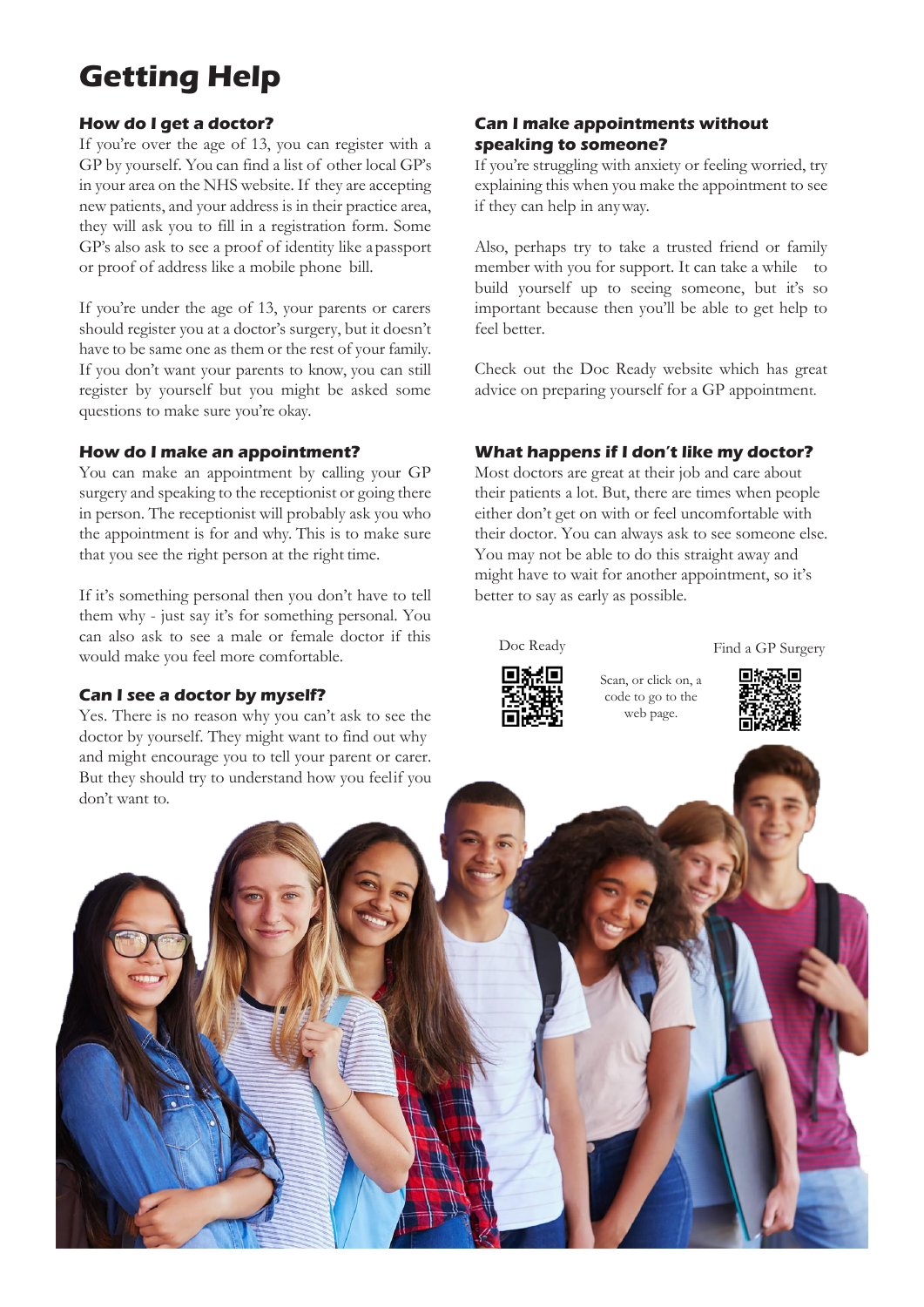# **Getting Help**

#### **How do I get a doctor?**

If you're over the age of 13, you can register with a GP by yourself. You can find a list of other local GP's in your area on the NHS website. If they are accepting new patients, and your address is in their practice area, they will ask you to fill in a registration form. Some GP's also ask to see a proof of identity like apassport or proof of address like a mobile phone bill.

If you're under the age of 13, your parents or carers should register you at a doctor's surgery, but it doesn't have to be same one as them or the rest of your family. If you don't want your parents to know, you can still register by yourself but you might be asked some questions to make sure you're okay.

#### **How do I make an appointment?**

You can make an appointment by calling your GP surgery and speaking to the receptionist or going there in person. The receptionist will probably ask you who the appointment is for and why. This is to make sure that you see the right person at the right time.

If it's something personal then you don't have to tell them why - just say it's for something personal. You can also ask to see a male or female doctor if this would make you feel more comfortable.

#### **Can I see a doctor by myself?**

and might encourage you to tell your parent or carer. But they should try to understand how you feelif you Yes. There is no reason why you can't ask to see the doctor by yourself. They might want to find out why

#### **Can I make appointments without speaking to someone?**

If you're struggling with anxiety or feeling worried, try explaining this when you make the appointment to see if they can help in anyway.

Also, perhaps try to take a trusted friend or family member with you for support. It can take a while to build yourself up to seeing someone, but it's so important because then you'll be able to get help to feel better.

Check out the Doc Ready website which has great advice on preparing yourself for a GP appointment.

#### **What happens if I don't like my doctor?**

Most doctors are great at their job and care about their patients a lot. But, there are times when people either don't get on with or feel uncomfortable with their doctor. You can always ask to see someone else. You may not be able to do this straight away and might have to wait for another appointment, so it's better to say as early as possible.



Doc Ready Find a GP Surgery





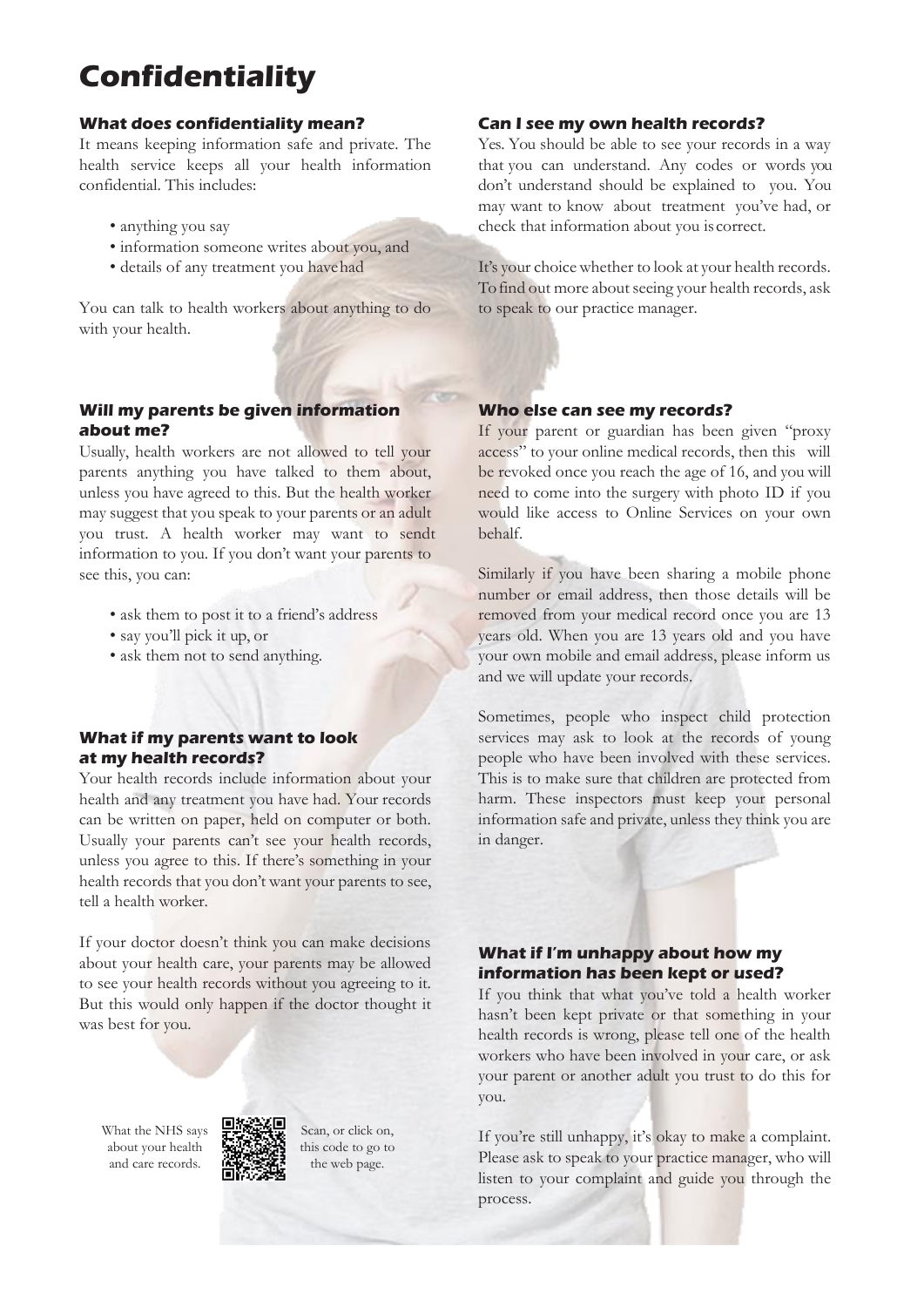# **Confidentiality**

#### **What does confidentiality mean?**

It means keeping information safe and private. The health service keeps all your health information confidential. This includes:

- anything you say
- information someone writes about you, and
- details of any treatment you havehad

You can talk to health workers about anything to do with your health.

#### **Will my parents be given information about me?**

Usually, health workers are not allowed to tell your parents anything you have talked to them about, unless you have agreed to this. But the health worker may suggest that you speak to your parents or an adult you trust. A health worker may want to sendt information to you. If you don't want your parents to see this, you can:

- ask them to post it to a friend's address
- say you'll pick it up, or
- ask them not to send anything.

#### **What if my parents want to look at my health records?**

Your health records include information about your health and any treatment you have had. Your records can be written on paper, held on computer or both. Usually your parents can't see your health records, unless you agree to this. If there's something in your health records that you don't want your parents to see, tell a health worker.

If your doctor doesn't think you can make decisions about your health care, your parents may be allowed to see your health records without you agreeing to it. But this would only happen if the doctor thought it was best for you.

What the NHS says about your health and care records.



Scan, or click on, this code to go to the web page.

#### **Can I see my own health records?**

Yes. You should be able to see your records in a way that you can understand. Any codes or words you don't understand should be explained to you. You may want to know about treatment you've had, or check that information about you is correct.

It's your choice whether to look at your health records. To find out more about seeing your health records, ask to speak to our practice manager.

#### **Who else can see my records?**

If your parent or guardian has been given "proxy access" to your online medical records, then this will be revoked once you reach the age of 16, and you will need to come into the surgery with photo ID if you would like access to Online Services on your own behalf.

Similarly if you have been sharing a mobile phone number or email address, then those details will be removed from your medical record once you are 13 years old. When you are 13 years old and you have your own mobile and email address, please inform us and we will update your records.

Sometimes, people who inspect child protection services may ask to look at the records of young people who have been involved with these services. This is to make sure that children are protected from harm. These inspectors must keep your personal information safe and private, unless they think you are in danger.

#### **What if I'm unhappy about how my information has been kept or used?**

If you think that what you've told a health worker hasn't been kept private or that something in your health records is wrong, please tell one of the health workers who have been involved in your care, or ask your parent or another adult you trust to do this for you.

If you're still unhappy, it's okay to make a complaint. Please ask to speak to your practice manager, who will listen to your complaint and guide you through the process.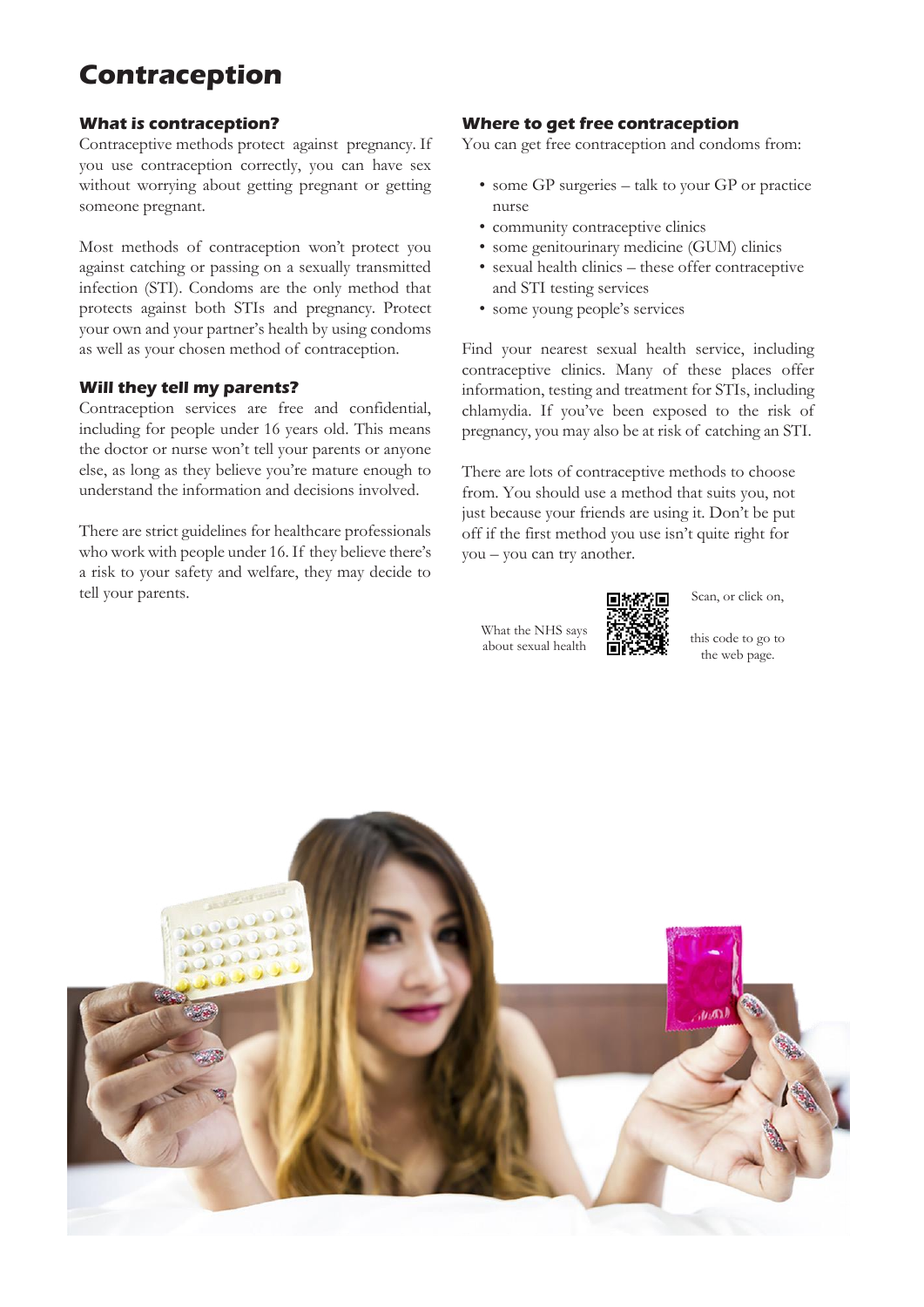## **Contraception**

#### **What is contraception?**

Contraceptive methods protect against pregnancy. If you use contraception correctly, you can have sex without worrying about getting pregnant or getting someone pregnant.

Most methods of contraception won't protect you against catching or passing on a sexually transmitted infection (STI). Condoms are the only method that protects against both STIs and pregnancy. Protect your own and your partner's health by using condoms as well as your chosen method of contraception.

#### **Will they tell my parents?**

Contraception services are free and confidential, including for people under 16 years old. This means the doctor or nurse won't tell your parents or anyone else, as long as they believe you're mature enough to understand the information and decisions involved.

There are strict guidelines for healthcare professionals who work with people under 16. If they believe there's a risk to your safety and welfare, they may decide to tell your parents.

#### **Where to get free contraception**

You can get free contraception and condoms from:

- some GP surgeries talk to your GP or practice nurse
- community contraceptive clinics
- some genitourinary medicine (GUM) clinics
- sexual health clinics these offer contraceptive and STI testing services
- some young people's services

Find your nearest sexual health service, including contraceptive clinics. Many of these places offer information, testing and treatment for STIs, including chlamydia. If you've been exposed to the risk of pregnancy, you may also be at risk of catching an STI.

There are lots of contraceptive methods to choose from. You should use a method that suits you, not just because your friends are using it. Don't be put off if the first method you use isn't quite right for you – you can try another.

What the NHS says what the IVIIS says  $f$   $\theta$   $\theta$   $\theta$   $\theta$  this code to go to about sexual health  $\theta$ 

Scan, or click on,

the web page.